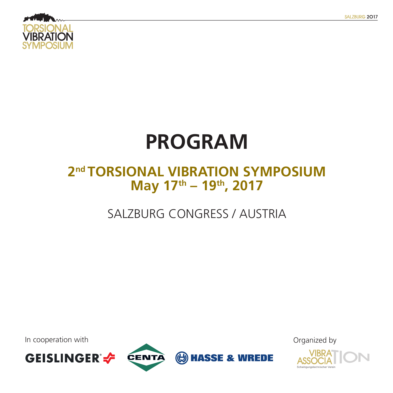

# **PROGRAM**

### **2nd TORSIONAL VIBRATION SYMPOSIUM May 17th – 19th, 2017**

## SALZBURG CONGRESS / AUSTRIA

**(b) HASSE & WREDE** 

In cooperation with  $\Box$ 





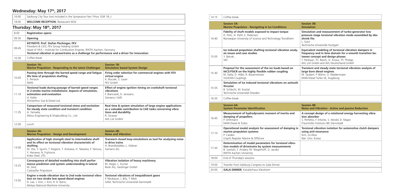#### Wednesday: May 17<sup>th</sup>, 2017

| 16:00 | Salzburg City Tour (not included in the Symposium fee / Price: EUR 18,-)                                                                                                                                                                                         |                                                                                                                                                                                 |  |  |
|-------|------------------------------------------------------------------------------------------------------------------------------------------------------------------------------------------------------------------------------------------------------------------|---------------------------------------------------------------------------------------------------------------------------------------------------------------------------------|--|--|
| 18:00 | <b>WELCOME RECEPTION, Restaurant M32</b>                                                                                                                                                                                                                         |                                                                                                                                                                                 |  |  |
|       | Thursday: May 18th, 2017                                                                                                                                                                                                                                         |                                                                                                                                                                                 |  |  |
| 8:00  | <b>Registration opens</b>                                                                                                                                                                                                                                        |                                                                                                                                                                                 |  |  |
| 09:30 | Opening                                                                                                                                                                                                                                                          |                                                                                                                                                                                 |  |  |
| 09:45 | <b>KEYNOTE: Prof. Stefan Pischinger, FEV</b><br>President & CEO, FEV Group Holding GmbH<br>Head of VKA - Institute for Combustion Engines, RWTH Aachen, Germany<br>Torsional vibration in powertrains as a challenge for performance and a driver for innovation |                                                                                                                                                                                 |  |  |
| 10:30 | Coffee break                                                                                                                                                                                                                                                     |                                                                                                                                                                                 |  |  |
|       | <b>Session 1A:</b><br><b>Marine Propulsion - Responding to the latest Challenges</b>                                                                                                                                                                             | <b>Session 1B:</b><br><b>Simulation based System Design</b>                                                                                                                     |  |  |
| 10:45 | Passing time through the barred speed range and fatigue<br>life time of propulsion shafting<br>S. Persson<br>MAN                                                                                                                                                 | Firing order selection for commercial engines with FEV<br>virtual engine<br>K. Buczek, S. Lauer<br><b>FEV GmbH</b>                                                              |  |  |
| 11:10 | Torsional loads during passage of barred speed ranges<br>in 2-stroke marine installations: Aspects of simulation,<br>estimation and evaluation<br>H. Keller<br>Winterthur Gas & Diesel Ltd.                                                                      | Effect of engine ignition timing on crankshaft torsional<br>vibrations<br>F. Bianciardi, K. Janssens<br>Siemens / LMS                                                           |  |  |
| 11:35 | Comparison of measured torsional stress and excitation<br>for steady state condition and transient condition<br>A. Yamada,<br>Mitsui Engineering & Shipbuilding Co., Ltd.                                                                                        | Real time & system simulation of large engine applications<br>as a valuable contribution to CAE tasks concerning vibra-<br>tions and durability<br>R. Strasser<br>AVL List GmbH |  |  |
| 12:00 | Lunch                                                                                                                                                                                                                                                            |                                                                                                                                                                                 |  |  |
|       | <b>Session 2A:</b><br><b>Marine Propulsion - Design and Development</b>                                                                                                                                                                                          | <b>Session 2B:</b><br><b>Noise and Vibration</b>                                                                                                                                |  |  |
| 13:00 | Application of high strength steel to intermediate shaft<br>and its effect on torsional vibration characteristic of<br>shafting<br>M. Ota, Y. Iguchi, T. Ikegami, T. Arikawa, H. Takaoka, F. Tamura,<br>Y. Hanawa, N. Fujitsuna<br>Kobe Steel, LTD.              | Transient closed loop simulations as tool for analyzing noise<br>in drive trains<br>H. Brandtstädter, L. Hübner<br>Siemens AG                                                   |  |  |
| 13:25 | Consequence of detailed modelling into shaft perfor-<br>mance prediction and system understanding in lateral<br>M. Zeid.<br>Caterpillar Propulsion                                                                                                               | Vibration isolation of heavy machinery<br>M. Heger, L. Kurtze<br>Renk AG, Geislinger GmbH                                                                                       |  |  |
| 13:50 | Engine x-mode vibration due to 2nd node torsional vibra-<br>tion on two stroke low speed diesel engines<br>D. Lee, J. Kim, J. Kim, R. D. Barro,<br>Mokpo National Maritime University                                                                            | <b>Torsional vibrations of inequidistant gears</b><br>P. Neubauer, J. Bös, T. Melz<br>SAM, Technische Universität Darmstadt                                                     |  |  |

**Torson** isolation for automotive clutch dampers **using anti-resonance**

Voo Korea

**Simulation and measurement of turbo-generator low pressure stage torsional vibration mode assembled by disc shrink fits**

ne Universität Stuttgart

**Equivalent modeling of torsional vibration dampers in frequency and in time domain for a smooth transition between concept and design phases** 

In, Th. Resch, O. Knaus, Th. Philipp, **GmbH and AVL Deutschland GmbH** 

**Transient and steady state torsional vibration analysis of large bore diesel engines**

ert, P. Böhm, U. Waldenmaier sel Turbo SE, Augsburg

### **Notation - Active and passive Reduction**

pt design of a rotational energy harvesting vibraorber

| 14:15 | Coffee break                                                                                                                                                                 |                                                                               |
|-------|------------------------------------------------------------------------------------------------------------------------------------------------------------------------------|-------------------------------------------------------------------------------|
|       | <b>Session 3A:</b><br><b>Marine Propulsion - Navigating in Ice Conditions</b>                                                                                                | <b>Session 3B:</b><br><b>Simulation</b>                                       |
| 14:40 | Fidelity of shaft models exposed to impact torque<br>D. Polic, H. Piehl, E. Pedersen,<br>Norwegian University of Science and Technology Trondheim                            | <b>Simulation</b><br>pressure sta<br>shrink fits<br>L. Gaul<br>Technische U   |
| 15:05 | Ice induced propulsion shafting torsional vibration analy-<br>sis issues and case studies<br>Y. Batrak,<br><b>SKF</b>                                                        | <b>Equivalent</b><br>frequency a<br>tween cond<br>T. Parikyan,<br>AVL List Gm |
| 15:30 | Proposal for the assessment of the ice loads based on<br>IACS/FSICR on the highly flexible rubber coupling<br>M. Dylla, D. Hilbk, R. Bauermeister<br><b>VULKAN Couplings</b> | <b>Transient a</b><br>large bore<br>M. Taubert,<br><b>MAN Diesel</b>          |
| 15:55 | Simulation of ice induced torsional vibrations on azimuth<br>thruster<br>B. Schlecht, M. Kostial<br>Technische Universität Dresden                                           |                                                                               |
| 16:20 | Coffee break                                                                                                                                                                 |                                                                               |
|       | <b>Session 4A:</b><br><b>System Parameter Identification</b>                                                                                                                 | <b>Session 4B:</b><br><b>Noise and \</b>                                      |
| 16:45 | Measurement of hydrodynamic moment of inertia and<br>damping of propellers<br>P. Orthmann<br>MAN Diesel & Turbo                                                              | A concept o<br>tion absorb<br>S. Perfetto, I<br>Fraunhofer I                  |
| 17:10 | Operational modal analysis for assessment of damping in<br>marine propulsion systems<br>P. Carden<br>Lloyd's Register Marine & Offshore                                      | <b>Torsional vi</b><br>using anti-<br>Kim, Gi-Woo<br>Nat Univ Ko              |

S. Perfetto, F. Infante, S. Herold, D. Mayer Fraunhofer Institute LBF, Darmstadt

| 17:10 | Operational modal analysis for assessment of damping in<br>marine propulsion systems<br>P. Carden<br>Lloyd's Register Marine & Offshore                                                         | Torsion<br>using a<br>Kim, Gi-<br>Nat. Uni |
|-------|-------------------------------------------------------------------------------------------------------------------------------------------------------------------------------------------------|--------------------------------------------|
| 17:35 | Determination of model parameters for torsional vibra-<br>tion models of drivetrains by system measurements<br>B. Juretzki, F. Andary, M. Wegerhoff, G. Jacobs<br><b>RWTH Aachen University</b> |                                            |
| 18:00 | End of Thursday's sessions                                                                                                                                                                      |                                            |
| 19:00 | Transfer from Salzburg Congress to Gala Dinner                                                                                                                                                  |                                            |
| 20:00 | <b>GALA DINNER, Kavalierhaus Klessheim</b>                                                                                                                                                      |                                            |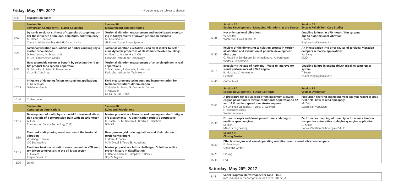#### **Friday: May 19th, 2017**

| 8:30  | <b>Registration opens</b>                                                                                                                                                                    |                                                                                                                                                                                                    |
|-------|----------------------------------------------------------------------------------------------------------------------------------------------------------------------------------------------|----------------------------------------------------------------------------------------------------------------------------------------------------------------------------------------------------|
|       | <b>Session 5A:</b><br><b>Powertrain Components - Elastic Couplings</b>                                                                                                                       | <b>Session 5B:</b><br><b>Measurement and Monitoring</b>                                                                                                                                            |
| 9:00  | Dynamic torsional stiffness of superelastic couplings un-<br>der the influence of preload, amplitude, and frequency<br>M. Hasan, R. Zadoks<br>Centa Antriebe Kirschey GmbH, Caterpillar Inc. | Torsional vibration measurement and model-based monitor-<br>ing in todays reality of power generation business<br>M. Golebiowski<br>GE Power Steam Power Systems                                   |
| 9:25  | Torsional vibration calculations of rubber couplings by a<br>master curve model<br>D. Hochlenert, M. Schuchardt<br>MTU Friedrichshafen GmbH                                                  | Torsional vibration excitation using axial shaker to deter-<br>mine dynamic properties of elastomeric flexible couplings<br>A. Albers, J. Matitschka, S. Ott<br>Karlsruhe Institute for Technology |
| 9:50  | How to provide customer benefit by selecting the "best<br>fit" product for a specific application<br>G. Gödecke, R. Seiler, R. Bauermeister<br><b>VULKAN Couplings</b>                       | Torsional vibration measurement of an angle grinder in real<br>applications<br>S. Matthiesen, T. Gwosch, A. Wettstein<br>Karlsruhe Institute for Technology                                        |
| 10:15 | Influence of damping factors on coupling applications<br>C. Mühlberger<br>Geislinger GmbH                                                                                                    | Field measurement techniques and instrumentation for<br>torsional vibrations determination<br>C. Grislin, N. Péton, G. Cousin, N. Denisot,<br>F. Palpacuer<br>GE Oil & Gas, OROS                   |
| 10:40 | Coffee break                                                                                                                                                                                 |                                                                                                                                                                                                    |
|       | <b>Session 6A:</b><br><b>Compressors Applications</b>                                                                                                                                        | <b>Session 6B:</b><br><b>Rules and Regulations</b>                                                                                                                                                 |
| 11:05 | Development of multiphysics model for torsional vibra-<br>tion analysis of a compression train with electric motor<br>A. Fusi<br>Compression Service Technology (CST)                        | Marine propulsion – Barred speed passing and shaft fatigue<br>life assessments - A classification society's perspective<br>G. Dahler, G. M. Bakken, E. Brodin, O. Deinboll<br>DNV GL               |
| 11:30 | The crankshaft phasing consideration of the torsional<br>vibration<br>W. Wang, J. Braun<br><b>IDC</b> Engineering                                                                            | New german grid code regulations and their relation to<br>torsional vibrations<br>P. Stolze, P. Böhm<br>MAN Diesel & Turbo SE, Augsburg                                                            |
| 11:55 | Real-time torsional vibration measurement on VFD emo-<br>tor driven compressors in the oil & gas sector<br>C. Holmes<br>Torquemeters Ltd.                                                    | Marine propulsion - future challenges: Solutions with a<br>proven history in classification<br>K. Banisoleiman, D. Hampson, P. Davies<br>Lloyd's Register                                          |
| 12:20 | Lunch                                                                                                                                                                                        |                                                                                                                                                                                                    |

#### **B: System Reliability - Case Studies**

**Session 8B: Evaluation** 

**Performance mapping of tuned type torsional vibration**  for automotive on-highway engine application

'ibration Technologies Pvt Ltd.

**Examplers** 

**Coupling failures in VFD motor / Fan systems due to high torsional vibration**

ing Dynamics Inc.

**An investigation into error causes of torsional vibration dampers in marine applications** 

**Coupling failure in engine driven pipeline compressor** 

ng Dynamics Inc.

|       | <b>Session 7A:</b><br><b>Engine Development - Managing Vibrations at the Source</b>                                                                                                                                                                         | Session 7<br><b>System F</b>                      |
|-------|-------------------------------------------------------------------------------------------------------------------------------------------------------------------------------------------------------------------------------------------------------------|---------------------------------------------------|
| 13:25 | Not only torsional vibrations<br>W. Schiffer<br>Winterthur Gas & Diesel Ltd.                                                                                                                                                                                | Coupling<br>due to hi<br>T. Feese<br>Engineeri    |
| 13:50 | Review of the dimensing calculation process in torsion-<br>al vibration and evaluation of possible development<br>directions<br>C. Pestelli, P. Sundström, M. Almerigogna, A. Pettirosso<br>Wärtsilä Corporation                                            | An inves<br>dampers<br>Yu, Zang<br><b>DMD</b>     |
| 14:15 | Irregularity instead of harmony - Ways to improve tor-<br>sional performance of a V20 engine<br>B. Mokdad, C. Henninger<br>Liebherr                                                                                                                         | Coupling<br>system<br>T. Feese<br>Engineeri       |
| 14:40 | Coffee break                                                                                                                                                                                                                                                |                                                   |
|       | <b>Session 8A:</b><br><b>Engine Development - Future Concepts</b>                                                                                                                                                                                           | <b>Session 8</b><br><b>System E</b>               |
| 15:05 | A procedure for calculaction of the maximum allowed<br>engine power under misfire conditions: Application to 12<br>and 14 V medium speed four stroke engines.<br>F. J. Jiménez-Espadafor, A. Lora, D. Guerrero,<br>E. Fernández-Vacas<br>Seville University | Propulsio<br>tical field<br>M. Zeid<br>Caterpilla |
| 15:30 | Future concepts and development trends relating to<br>medium speed engines<br>M. Bierl<br>MA-C-S Engineering                                                                                                                                                | Performa<br>damper i<br>A. Khule<br>Hodek Vil     |
|       | <b>Session 9:</b><br><b>Closing Session</b>                                                                                                                                                                                                                 |                                                   |
| 16:00 | Effects of engine and vessel operating conditions on torsional vibrat<br>K. Prenninger<br>Geislinger GmbH                                                                                                                                                   |                                                   |
| 16:25 | Closing                                                                                                                                                                                                                                                     |                                                   |

**Propulsion shafting alignment from analysis report to practical field, how to read and apply**

ar Propulsion

16:30 End

#### **Saturday: May 20th, 2017**

| 8:45 | Social Program: Berchtesgadener Land - Tour           |  |
|------|-------------------------------------------------------|--|
|      | (not included in the Symposium fee / Price: EUR 50,-) |  |